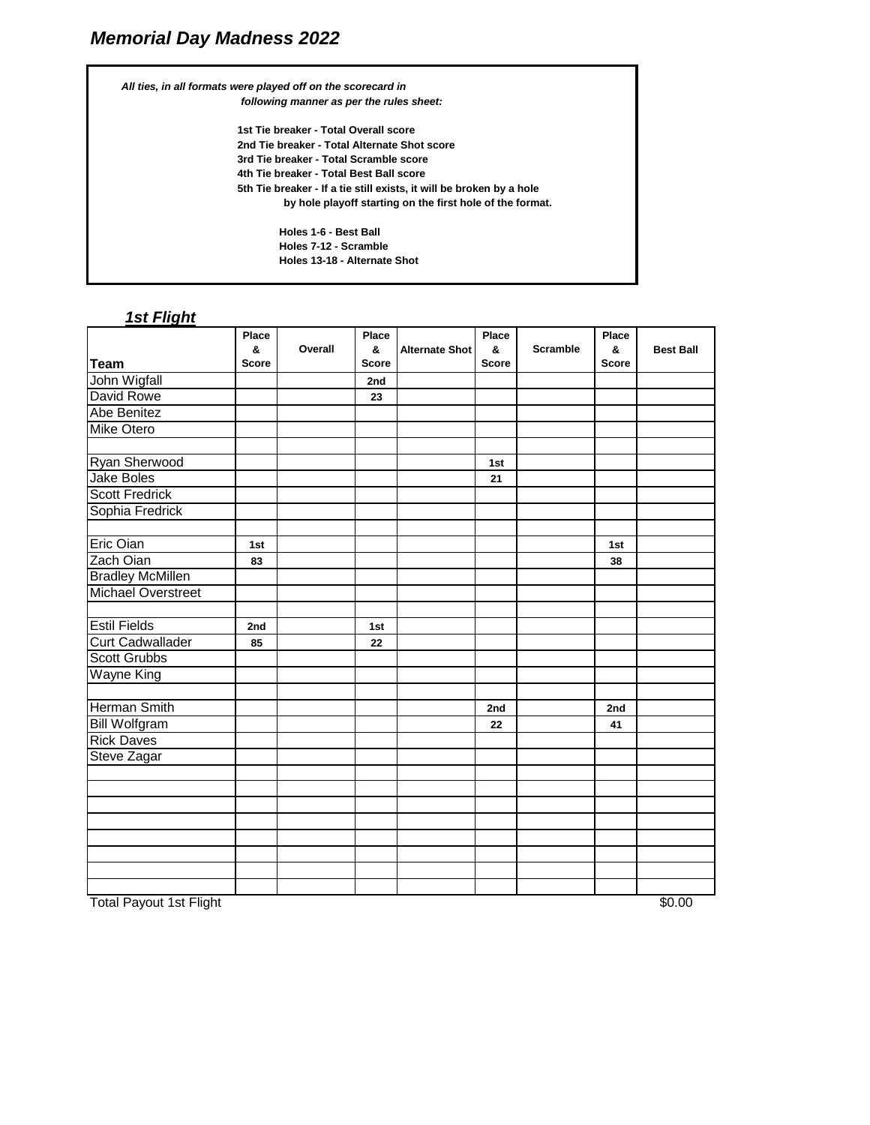*All ties, in all formats were played off on the scorecard in following manner as per the rules sheet:* **1st Tie breaker - Total Overall score 2nd Tie breaker - Total Alternate Shot score 3rd Tie breaker - Total Scramble score 4th Tie breaker - Total Best Ball score 5th Tie breaker - If a tie still exists, it will be broken by a hole by hole playoff starting on the first hole of the format. Holes 1-6 - Best Ball Holes 7-12 - Scramble Holes 13-18 - Alternate Shot**

## *1st Flight*

|                           | Place        |         | Place        |                       | Place        |                 | Place        |                  |
|---------------------------|--------------|---------|--------------|-----------------------|--------------|-----------------|--------------|------------------|
|                           | &            | Overall | &            | <b>Alternate Shot</b> | &            | <b>Scramble</b> | &            | <b>Best Ball</b> |
| <b>Team</b>               | <b>Score</b> |         | <b>Score</b> |                       | <b>Score</b> |                 | <b>Score</b> |                  |
| John Wigfall              |              |         | 2nd          |                       |              |                 |              |                  |
| David Rowe                |              |         | 23           |                       |              |                 |              |                  |
| Abe Benitez               |              |         |              |                       |              |                 |              |                  |
| <b>Mike Otero</b>         |              |         |              |                       |              |                 |              |                  |
|                           |              |         |              |                       |              |                 |              |                  |
| Ryan Sherwood             |              |         |              |                       | 1st          |                 |              |                  |
| <b>Jake Boles</b>         |              |         |              |                       | 21           |                 |              |                  |
| <b>Scott Fredrick</b>     |              |         |              |                       |              |                 |              |                  |
| Sophia Fredrick           |              |         |              |                       |              |                 |              |                  |
|                           |              |         |              |                       |              |                 |              |                  |
| Eric Oian                 | 1st          |         |              |                       |              |                 | 1st          |                  |
| Zach Oian                 | 83           |         |              |                       |              |                 | 38           |                  |
| <b>Bradley McMillen</b>   |              |         |              |                       |              |                 |              |                  |
| <b>Michael Overstreet</b> |              |         |              |                       |              |                 |              |                  |
|                           |              |         |              |                       |              |                 |              |                  |
| <b>Estil Fields</b>       | 2nd          |         | 1st          |                       |              |                 |              |                  |
| <b>Curt Cadwallader</b>   | 85           |         | 22           |                       |              |                 |              |                  |
| <b>Scott Grubbs</b>       |              |         |              |                       |              |                 |              |                  |
| <b>Wayne King</b>         |              |         |              |                       |              |                 |              |                  |
|                           |              |         |              |                       |              |                 |              |                  |
| <b>Herman Smith</b>       |              |         |              |                       | 2nd          |                 | 2nd          |                  |
| <b>Bill Wolfgram</b>      |              |         |              |                       | 22           |                 | 41           |                  |
| <b>Rick Daves</b>         |              |         |              |                       |              |                 |              |                  |
| Steve Zagar               |              |         |              |                       |              |                 |              |                  |
|                           |              |         |              |                       |              |                 |              |                  |
|                           |              |         |              |                       |              |                 |              |                  |
|                           |              |         |              |                       |              |                 |              |                  |
|                           |              |         |              |                       |              |                 |              |                  |
|                           |              |         |              |                       |              |                 |              |                  |
|                           |              |         |              |                       |              |                 |              |                  |
|                           |              |         |              |                       |              |                 |              |                  |
|                           |              |         |              |                       |              |                 |              |                  |

Total Payout 1st Flight \$0.00